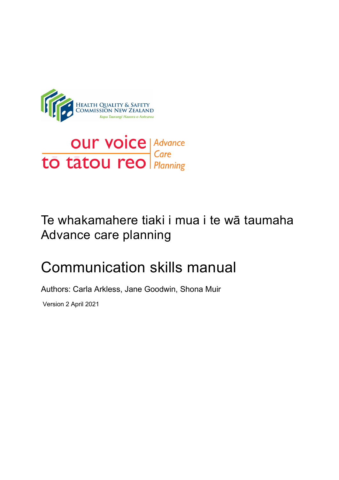

# **OUT VOICE Advance**<br> **to tatou reo** Planning

# Te whakamahere tiaki i mua i te wā taumaha Advance care planning

# Communication skills manual

Authors: Carla Arkless, Jane Goodwin, Shona Muir

Version 2 April 2021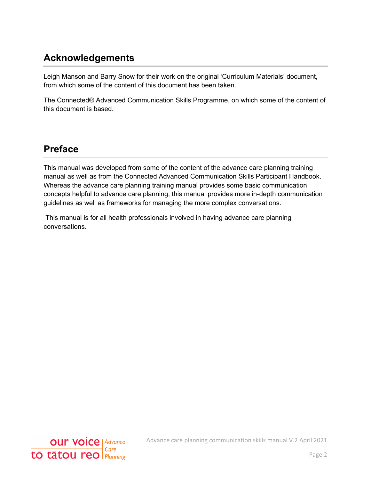# <span id="page-1-0"></span>**Acknowledgements**

Leigh Manson and Barry Snow for their work on the original 'Curriculum Materials' document, from which some of the content of this document has been taken.

The Connected® Advanced Communication Skills Programme, on which some of the content of this document is based.

# <span id="page-1-1"></span>**Preface**

This manual was developed from some of the content of the advance care planning training manual as well as from the Connected Advanced Communication Skills Participant Handbook. Whereas the advance care planning training manual provides some basic communication concepts helpful to advance care planning, this manual provides more in-depth communication guidelines as well as frameworks for managing the more complex conversations.

This manual is for all health professionals involved in having advance care planning conversations.

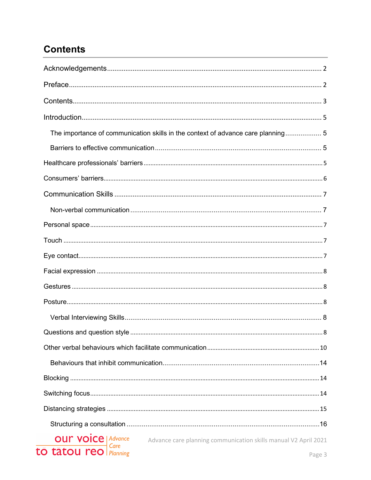# <span id="page-2-0"></span>**Contents**

| The importance of communication skills in the context of advance care planning 5           |
|--------------------------------------------------------------------------------------------|
|                                                                                            |
|                                                                                            |
|                                                                                            |
|                                                                                            |
|                                                                                            |
|                                                                                            |
|                                                                                            |
|                                                                                            |
|                                                                                            |
|                                                                                            |
|                                                                                            |
|                                                                                            |
|                                                                                            |
|                                                                                            |
|                                                                                            |
|                                                                                            |
|                                                                                            |
|                                                                                            |
|                                                                                            |
| <b>OUM VOICE</b>   Advance Advance care planning communication skills manual V2 April 2021 |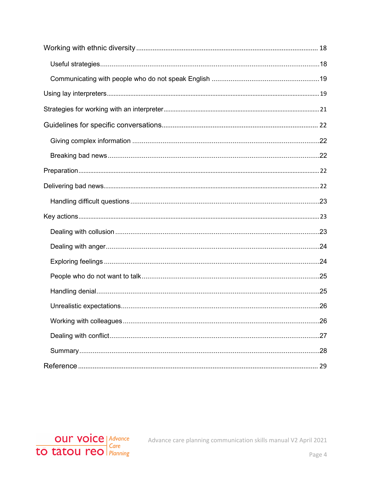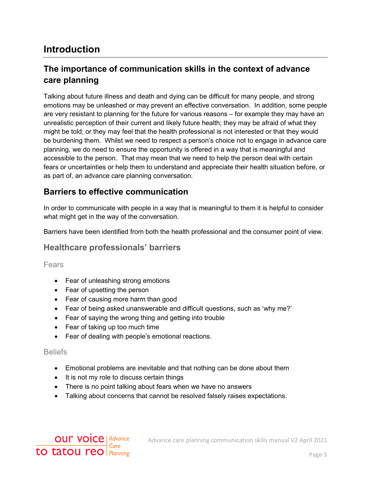# <span id="page-4-0"></span>**Introduction**

# <span id="page-4-1"></span>**The importance of communication skills in the context of advance care planning**

Talking about future illness and death and dying can be difficult for many people, and strong emotions may be unleashed or may prevent an effective conversation. In addition, some people are very resistant to planning for the future for various reasons – for example they may have an unrealistic perception of their current and likely future health; they may be afraid of what they might be told; or they may feel that the health professional is not interested or that they would be burdening them. Whilst we need to respect a person's choice not to engage in advance care planning, we do need to ensure the opportunity is offered in a way that is meaningful and accessible to the person. That may mean that we need to help the person deal with certain fears or uncertainties or help them to understand and appreciate their health situation before, or as part of, an advance care planning conversation.

#### <span id="page-4-2"></span>**Barriers to effective communication**

In order to communicate with people in a way that is meaningful to them it is helpful to consider what might get in the way of the conversation.

Barriers have been identified from both the health professional and the consumer point of view.

#### <span id="page-4-3"></span>**Healthcare professionals' barriers**

Fears

- Fear of unleashing strong emotions
- Fear of upsetting the person
- Fear of causing more harm than good
- Fear of being asked unanswerable and difficult questions, such as 'why me?'
- Fear of saying the wrong thing and getting into trouble
- Fear of taking up too much time
- Fear of dealing with people's emotional reactions.

#### **Beliefs**

- Emotional problems are inevitable and that nothing can be done about them
- It is not my role to discuss certain things
- There is no point talking about fears when we have no answers
- Talking about concerns that cannot be resolved falsely raises expectations.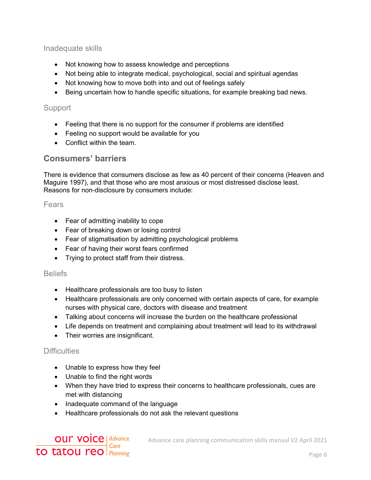Inadequate skills

- Not knowing how to assess knowledge and perceptions
- Not being able to integrate medical, psychological, social and spiritual agendas
- Not knowing how to move both into and out of feelings safely
- Being uncertain how to handle specific situations, for example breaking bad news.

#### **Support**

- Feeling that there is no support for the consumer if problems are identified
- Feeling no support would be available for you
- Conflict within the team.

#### <span id="page-5-0"></span>**Consumers' barriers**

There is evidence that consumers disclose as few as 40 percent of their concerns (Heaven and Maguire 1997), and that those who are most anxious or most distressed disclose least. Reasons for non-disclosure by consumers include:

#### Fears

- Fear of admitting inability to cope
- Fear of breaking down or losing control
- Fear of stigmatisation by admitting psychological problems
- Fear of having their worst fears confirmed
- Trying to protect staff from their distress.

#### **Beliefs**

- Healthcare professionals are too busy to listen
- Healthcare professionals are only concerned with certain aspects of care, for example nurses with physical care, doctors with disease and treatment
- Talking about concerns will increase the burden on the healthcare professional
- Life depends on treatment and complaining about treatment will lead to its withdrawal
- Their worries are insignificant.

#### **Difficulties**

- Unable to express how they feel
- Unable to find the right words
- When they have tried to express their concerns to healthcare professionals, cues are met with distancing
- Inadequate command of the language
- Healthcare professionals do not ask the relevant questions

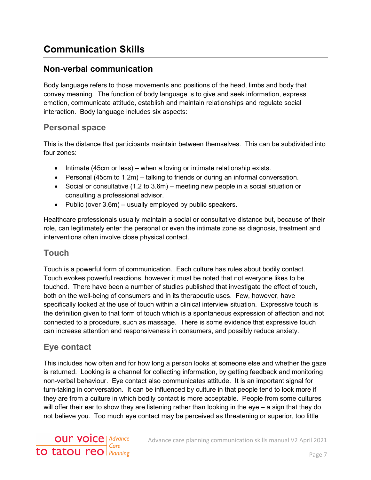# <span id="page-6-0"></span>**Communication Skills**

## <span id="page-6-1"></span>**Non-verbal communication**

Body language refers to those movements and positions of the head, limbs and body that convey meaning. The function of body language is to give and seek information, express emotion, communicate attitude, establish and maintain relationships and regulate social interaction. Body language includes six aspects:

#### <span id="page-6-2"></span>**Personal space**

This is the distance that participants maintain between themselves. This can be subdivided into four zones:

- Intimate (45cm or less) when a loving or intimate relationship exists.
- Personal (45cm to 1.2m) talking to friends or during an informal conversation.
- Social or consultative (1.2 to 3.6m) meeting new people in a social situation or consulting a professional advisor.
- Public (over 3.6m) usually employed by public speakers.

Healthcare professionals usually maintain a social or consultative distance but, because of their role, can legitimately enter the personal or even the intimate zone as diagnosis, treatment and interventions often involve close physical contact.

#### <span id="page-6-3"></span>**Touch**

Touch is a powerful form of communication. Each culture has rules about bodily contact. Touch evokes powerful reactions, however it must be noted that not everyone likes to be touched. There have been a number of studies published that investigate the effect of touch, both on the well-being of consumers and in its therapeutic uses. Few, however, have specifically looked at the use of touch within a clinical interview situation. Expressive touch is the definition given to that form of touch which is a spontaneous expression of affection and not connected to a procedure, such as massage. There is some evidence that expressive touch can increase attention and responsiveness in consumers, and possibly reduce anxiety.

# <span id="page-6-4"></span>**Eye contact**

This includes how often and for how long a person looks at someone else and whether the gaze is returned. Looking is a channel for collecting information, by getting feedback and monitoring non-verbal behaviour. Eye contact also communicates attitude. It is an important signal for turn-taking in conversation. It can be influenced by culture in that people tend to look more if they are from a culture in which bodily contact is more acceptable. People from some cultures will offer their ear to show they are listening rather than looking in the eye – a sign that they do not believe you. Too much eye contact may be perceived as threatening or superior, too little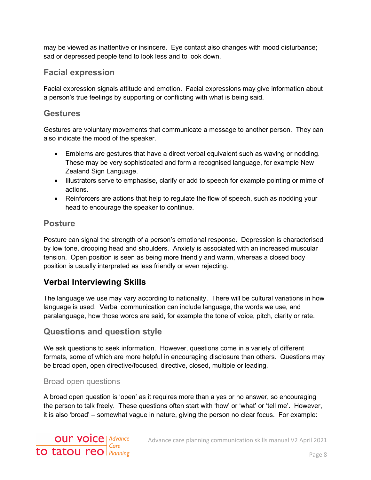may be viewed as inattentive or insincere. Eye contact also changes with mood disturbance; sad or depressed people tend to look less and to look down.

## <span id="page-7-0"></span>**Facial expression**

Facial expression signals attitude and emotion. Facial expressions may give information about a person's true feelings by supporting or conflicting with what is being said.

#### <span id="page-7-1"></span>**Gestures**

Gestures are voluntary movements that communicate a message to another person. They can also indicate the mood of the speaker.

- Emblems are gestures that have a direct verbal equivalent such as waving or nodding. These may be very sophisticated and form a recognised language, for example New Zealand Sign Language.
- Illustrators serve to emphasise, clarify or add to speech for example pointing or mime of actions.
- Reinforcers are actions that help to regulate the flow of speech, such as nodding your head to encourage the speaker to continue.

#### <span id="page-7-2"></span>**Posture**

Posture can signal the strength of a person's emotional response. Depression is characterised by low tone, drooping head and shoulders. Anxiety is associated with an increased muscular tension. Open position is seen as being more friendly and warm, whereas a closed body position is usually interpreted as less friendly or even rejecting.

# <span id="page-7-3"></span>**Verbal Interviewing Skills**

The language we use may vary according to nationality. There will be cultural variations in how language is used. Verbal communication can include language, the words we use, and paralanguage, how those words are said, for example the tone of voice, pitch, clarity or rate.

# <span id="page-7-4"></span>**Questions and question style**

We ask questions to seek information. However, questions come in a variety of different formats, some of which are more helpful in encouraging disclosure than others. Questions may be broad open, open directive/focused, directive, closed, multiple or leading.

#### Broad open questions

A broad open question is 'open' as it requires more than a yes or no answer, so encouraging the person to talk freely. These questions often start with 'how' or 'what' or 'tell me'. However, it is also 'broad' – somewhat vague in nature, giving the person no clear focus. For example: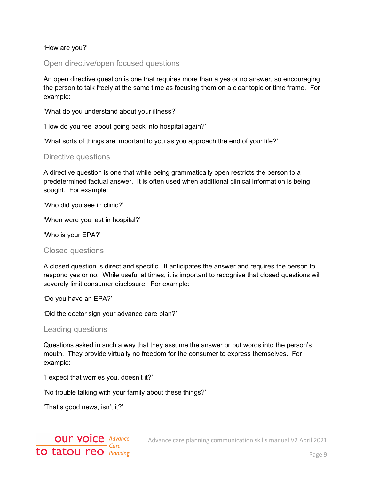'How are you?'

Open directive/open focused questions

An open directive question is one that requires more than a yes or no answer, so encouraging the person to talk freely at the same time as focusing them on a clear topic or time frame. For example:

'What do you understand about your illness?'

'How do you feel about going back into hospital again?'

'What sorts of things are important to you as you approach the end of your life?'

#### Directive questions

A directive question is one that while being grammatically open restricts the person to a predetermined factual answer. It is often used when additional clinical information is being sought. For example:

'Who did you see in clinic?'

'When were you last in hospital?'

'Who is your EPA?'

#### Closed questions

A closed question is direct and specific. It anticipates the answer and requires the person to respond yes or no. While useful at times, it is important to recognise that closed questions will severely limit consumer disclosure. For example:

'Do you have an EPA?'

'Did the doctor sign your advance care plan?'

#### Leading questions

Questions asked in such a way that they assume the answer or put words into the person's mouth. They provide virtually no freedom for the consumer to express themselves. For example:

'I expect that worries you, doesn't it?'

'No trouble talking with your family about these things?'

'That's good news, isn't it?'



Advance care planning communication skills manual V2 April 2021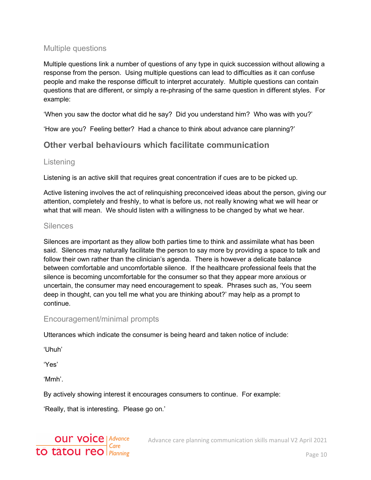#### Multiple questions

Multiple questions link a number of questions of any type in quick succession without allowing a response from the person. Using multiple questions can lead to difficulties as it can confuse people and make the response difficult to interpret accurately. Multiple questions can contain questions that are different, or simply a re-phrasing of the same question in different styles. For example:

'When you saw the doctor what did he say? Did you understand him? Who was with you?'

'How are you? Feeling better? Had a chance to think about advance care planning?'

## <span id="page-9-0"></span>**Other verbal behaviours which facilitate communication**

#### **Listening**

Listening is an active skill that requires great concentration if cues are to be picked up.

Active listening involves the act of relinquishing preconceived ideas about the person, giving our attention, completely and freshly, to what is before us, not really knowing what we will hear or what that will mean. We should listen with a willingness to be changed by what we hear.

#### **Silences**

Silences are important as they allow both parties time to think and assimilate what has been said. Silences may naturally facilitate the person to say more by providing a space to talk and follow their own rather than the clinician's agenda. There is however a delicate balance between comfortable and uncomfortable silence. If the healthcare professional feels that the silence is becoming uncomfortable for the consumer so that they appear more anxious or uncertain, the consumer may need encouragement to speak. Phrases such as, 'You seem deep in thought, can you tell me what you are thinking about?' may help as a prompt to continue.

#### Encouragement/minimal prompts

Utterances which indicate the consumer is being heard and taken notice of include:

'Uhuh'

'Yes'

'Mmh'.

By actively showing interest it encourages consumers to continue. For example:

'Really, that is interesting. Please go on.'

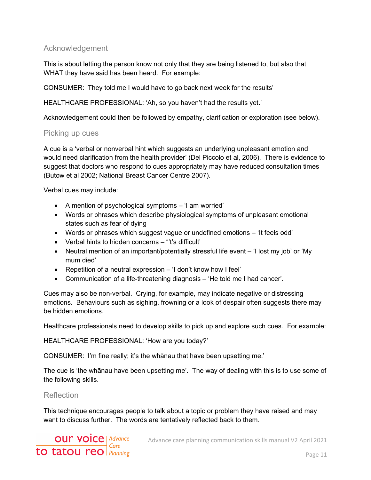#### Acknowledgement

This is about letting the person know not only that they are being listened to, but also that WHAT they have said has been heard. For example:

CONSUMER: 'They told me I would have to go back next week for the results'

HEALTHCARE PROFESSIONAL: 'Ah, so you haven't had the results yet.'

Acknowledgement could then be followed by empathy, clarification or exploration (see below).

#### Picking up cues

A cue is a 'verbal or nonverbal hint which suggests an underlying unpleasant emotion and would need clarification from the health provider' (Del Piccolo et al, 2006). There is evidence to suggest that doctors who respond to cues appropriately may have reduced consultation times (Butow et al 2002; National Breast Cancer Centre 2007).

Verbal cues may include:

- A mention of psychological symptoms 'I am worried'
- Words or phrases which describe physiological symptoms of unpleasant emotional states such as fear of dying
- Words or phrases which suggest vague or undefined emotions 'It feels odd'
- Verbal hints to hidden concerns "'t's difficult'
- Neutral mention of an important/potentially stressful life event 'I lost my job' or 'My mum died'
- Repetition of a neutral expression 'I don't know how I feel'
- Communication of a life-threatening diagnosis 'He told me I had cancer'.

Cues may also be non-verbal. Crying, for example, may indicate negative or distressing emotions. Behaviours such as sighing, frowning or a look of despair often suggests there may be hidden emotions.

Healthcare professionals need to develop skills to pick up and explore such cues. For example:

HEALTHCARE PROFESSIONAL: 'How are you today?'

CONSUMER: 'I'm fine really; it's the whānau that have been upsetting me.'

The cue is 'the whānau have been upsetting me'. The way of dealing with this is to use some of the following skills.

Reflection

This technique encourages people to talk about a topic or problem they have raised and may want to discuss further. The words are tentatively reflected back to them.

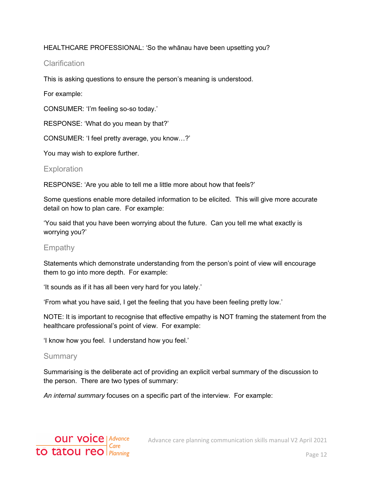#### HEALTHCARE PROFESSIONAL: 'So the whānau have been upsetting you?

#### **Clarification**

This is asking questions to ensure the person's meaning is understood.

For example:

CONSUMER: 'I'm feeling so-so today.'

RESPONSE: 'What do you mean by that?'

CONSUMER: 'I feel pretty average, you know…?'

You may wish to explore further.

#### **Exploration**

RESPONSE: 'Are you able to tell me a little more about how that feels?'

Some questions enable more detailed information to be elicited. This will give more accurate detail on how to plan care. For example:

'You said that you have been worrying about the future. Can you tell me what exactly is worrying you?'

#### Empathy

Statements which demonstrate understanding from the person's point of view will encourage them to go into more depth. For example:

'It sounds as if it has all been very hard for you lately.'

'From what you have said, I get the feeling that you have been feeling pretty low.'

NOTE: It is important to recognise that effective empathy is NOT framing the statement from the healthcare professional's point of view. For example:

'I know how you feel. I understand how you feel.'

#### Summary

Summarising is the deliberate act of providing an explicit verbal summary of the discussion to the person. There are two types of summary:

*An internal summary* focuses on a specific part of the interview. For example:

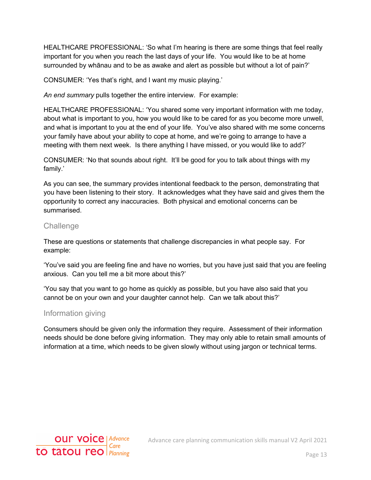HEALTHCARE PROFESSIONAL: 'So what I'm hearing is there are some things that feel really important for you when you reach the last days of your life. You would like to be at home surrounded by whānau and to be as awake and alert as possible but without a lot of pain?'

CONSUMER: 'Yes that's right, and I want my music playing.'

*An end summary* pulls together the entire interview. For example:

HEALTHCARE PROFESSIONAL: 'You shared some very important information with me today, about what is important to you, how you would like to be cared for as you become more unwell, and what is important to you at the end of your life. You've also shared with me some concerns your family have about your ability to cope at home, and we're going to arrange to have a meeting with them next week. Is there anything I have missed, or you would like to add?'

CONSUMER: 'No that sounds about right. It'll be good for you to talk about things with my family.'

As you can see, the summary provides intentional feedback to the person, demonstrating that you have been listening to their story. It acknowledges what they have said and gives them the opportunity to correct any inaccuracies. Both physical and emotional concerns can be summarised.

#### **Challenge**

These are questions or statements that challenge discrepancies in what people say. For example:

'You've said you are feeling fine and have no worries, but you have just said that you are feeling anxious. Can you tell me a bit more about this?'

'You say that you want to go home as quickly as possible, but you have also said that you cannot be on your own and your daughter cannot help. Can we talk about this?'

#### Information giving

Consumers should be given only the information they require. Assessment of their information needs should be done before giving information. They may only able to retain small amounts of information at a time, which needs to be given slowly without using jargon or technical terms.

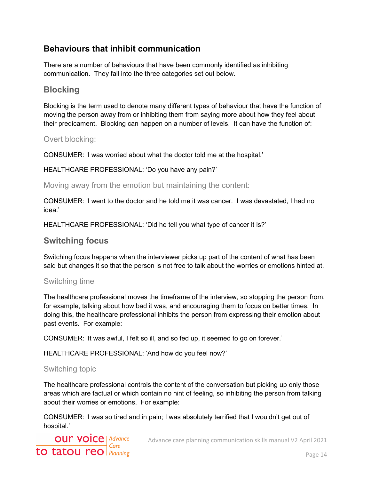# <span id="page-13-0"></span>**Behaviours that inhibit communication**

There are a number of behaviours that have been commonly identified as inhibiting communication. They fall into the three categories set out below.

#### <span id="page-13-1"></span>**Blocking**

Blocking is the term used to denote many different types of behaviour that have the function of moving the person away from or inhibiting them from saying more about how they feel about their predicament. Blocking can happen on a number of levels. It can have the function of:

#### Overt blocking:

CONSUMER: 'I was worried about what the doctor told me at the hospital.'

HEALTHCARE PROFESSIONAL: 'Do you have any pain?'

Moving away from the emotion but maintaining the content:

CONSUMER: 'I went to the doctor and he told me it was cancer. I was devastated, I had no idea.'

HEALTHCARE PROFESSIONAL: 'Did he tell you what type of cancer it is?'

#### <span id="page-13-2"></span>**Switching focus**

Switching focus happens when the interviewer picks up part of the content of what has been said but changes it so that the person is not free to talk about the worries or emotions hinted at.

#### Switching time

The healthcare professional moves the timeframe of the interview, so stopping the person from, for example, talking about how bad it was, and encouraging them to focus on better times. In doing this, the healthcare professional inhibits the person from expressing their emotion about past events. For example:

CONSUMER: 'It was awful, I felt so ill, and so fed up, it seemed to go on forever.'

HEALTHCARE PROFESSIONAL: 'And how do you feel now?'

#### Switching topic

The healthcare professional controls the content of the conversation but picking up only those areas which are factual or which contain no hint of feeling, so inhibiting the person from talking about their worries or emotions. For example:

CONSUMER: 'I was so tired and in pain; I was absolutely terrified that I wouldn't get out of hospital.'

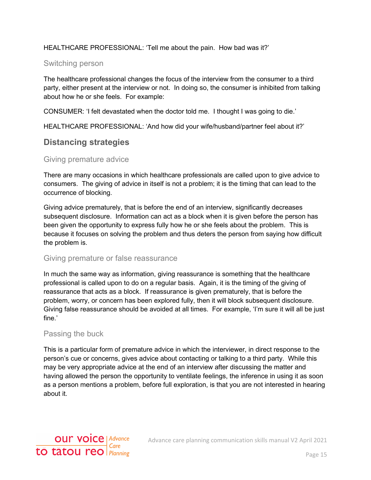#### HEALTHCARE PROFESSIONAL: 'Tell me about the pain. How bad was it?'

#### Switching person

The healthcare professional changes the focus of the interview from the consumer to a third party, either present at the interview or not. In doing so, the consumer is inhibited from talking about how he or she feels. For example:

CONSUMER: 'I felt devastated when the doctor told me. I thought I was going to die.'

HEALTHCARE PROFESSIONAL: 'And how did your wife/husband/partner feel about it?'

#### <span id="page-14-0"></span>**Distancing strategies**

#### Giving premature advice

There are many occasions in which healthcare professionals are called upon to give advice to consumers. The giving of advice in itself is not a problem; it is the timing that can lead to the occurrence of blocking.

Giving advice prematurely, that is before the end of an interview, significantly decreases subsequent disclosure. Information can act as a block when it is given before the person has been given the opportunity to express fully how he or she feels about the problem. This is because it focuses on solving the problem and thus deters the person from saying how difficult the problem is.

#### Giving premature or false reassurance

In much the same way as information, giving reassurance is something that the healthcare professional is called upon to do on a regular basis. Again, it is the timing of the giving of reassurance that acts as a block. If reassurance is given prematurely, that is before the problem, worry, or concern has been explored fully, then it will block subsequent disclosure. Giving false reassurance should be avoided at all times. For example, 'I'm sure it will all be just fine.'

#### Passing the buck

This is a particular form of premature advice in which the interviewer, in direct response to the person's cue or concerns, gives advice about contacting or talking to a third party. While this may be very appropriate advice at the end of an interview after discussing the matter and having allowed the person the opportunity to ventilate feelings, the inference in using it as soon as a person mentions a problem, before full exploration, is that you are not interested in hearing about it.

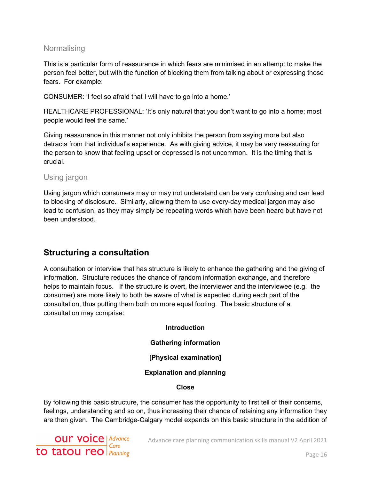#### **Normalising**

This is a particular form of reassurance in which fears are minimised in an attempt to make the person feel better, but with the function of blocking them from talking about or expressing those fears. For example:

CONSUMER: 'I feel so afraid that I will have to go into a home.'

HEALTHCARE PROFESSIONAL: 'It's only natural that you don't want to go into a home; most people would feel the same.'

Giving reassurance in this manner not only inhibits the person from saying more but also detracts from that individual's experience. As with giving advice, it may be very reassuring for the person to know that feeling upset or depressed is not uncommon. It is the timing that is crucial.

#### Using jargon

Using jargon which consumers may or may not understand can be very confusing and can lead to blocking of disclosure. Similarly, allowing them to use every-day medical jargon may also lead to confusion, as they may simply be repeating words which have been heard but have not been understood.

# <span id="page-15-0"></span>**Structuring a consultation**

A consultation or interview that has structure is likely to enhance the gathering and the giving of information. Structure reduces the chance of random information exchange, and therefore helps to maintain focus. If the structure is overt, the interviewer and the interviewee (e.g. the consumer) are more likely to both be aware of what is expected during each part of the consultation, thus putting them both on more equal footing. The basic structure of a consultation may comprise:

# **Introduction Gathering information [Physical examination] Explanation and planning Close**

By following this basic structure, the consumer has the opportunity to first tell of their concerns, feelings, understanding and so on, thus increasing their chance of retaining any information they are then given. The Cambridge-Calgary model expands on this basic structure in the addition of

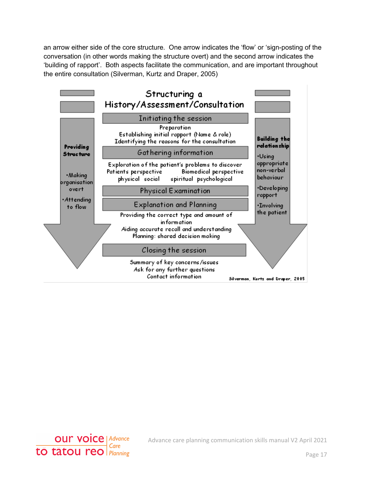an arrow either side of the core structure. One arrow indicates the 'flow' or 'sign-posting of the conversation (in other words making the structure overt) and the second arrow indicates the 'building of rapport'. Both aspects facilitate the communication, and are important throughout the entire consultation (Silverman, Kurtz and Draper, 2005)





Advance care planning communication skills manual V2 April 2021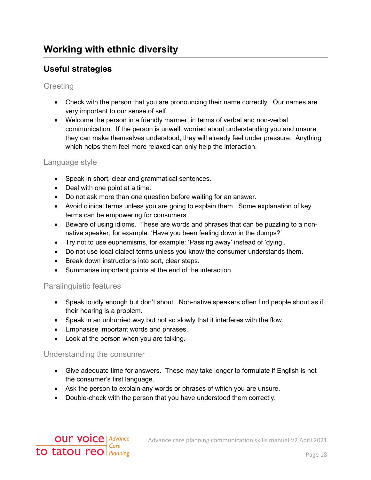# <span id="page-17-1"></span><span id="page-17-0"></span>**Useful strategies**

#### **Greeting**

- Check with the person that you are pronouncing their name correctly. Our names are very important to our sense of self.
- Welcome the person in a friendly manner, in terms of verbal and non-verbal communication. If the person is unwell, worried about understanding you and unsure they can make themselves understood, they will already feel under pressure. Anything which helps them feel more relaxed can only help the interaction.

#### Language style

- Speak in short, clear and grammatical sentences.
- Deal with one point at a time.
- Do not ask more than one question before waiting for an answer.
- Avoid clinical terms unless you are going to explain them. Some explanation of key terms can be empowering for consumers.
- Beware of using idioms. These are words and phrases that can be puzzling to a nonnative speaker, for example: 'Have you been feeling down in the dumps?'
- Try not to use euphemisms, for example: 'Passing away' instead of 'dying'.
- Do not use local dialect terms unless you know the consumer understands them.
- Break down instructions into sort, clear steps.
- Summarise important points at the end of the interaction.

#### Paralinguistic features

- Speak loudly enough but don't shout. Non-native speakers often find people shout as if their hearing is a problem.
- Speak in an unhurried way but not so slowly that it interferes with the flow.
- Emphasise important words and phrases.
- Look at the person when you are talking.

#### Understanding the consumer

- Give adequate time for answers. These may take longer to formulate if English is not the consumer's first language.
- Ask the person to explain any words or phrases of which you are unsure.
- Double-check with the person that you have understood them correctly.

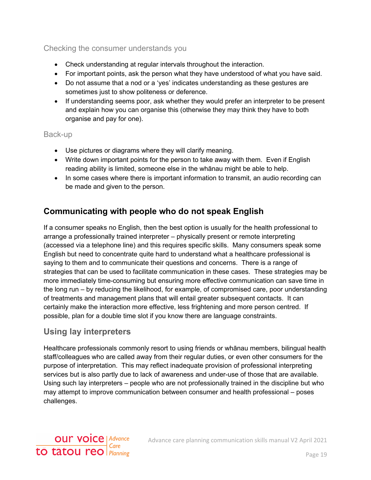#### Checking the consumer understands you

- Check understanding at regular intervals throughout the interaction.
- For important points, ask the person what they have understood of what you have said.
- Do not assume that a nod or a 'yes' indicates understanding as these gestures are sometimes just to show politeness or deference.
- If understanding seems poor, ask whether they would prefer an interpreter to be present and explain how you can organise this (otherwise they may think they have to both organise and pay for one).

#### Back-up

- Use pictures or diagrams where they will clarify meaning.
- Write down important points for the person to take away with them. Even if English reading ability is limited, someone else in the whānau might be able to help.
- In some cases where there is important information to transmit, an audio recording can be made and given to the person.

## <span id="page-18-0"></span>**Communicating with people who do not speak English**

If a consumer speaks no English, then the best option is usually for the health professional to arrange a professionally trained interpreter – physically present or remote interpreting (accessed via a telephone line) and this requires specific skills. Many consumers speak some English but need to concentrate quite hard to understand what a healthcare professional is saying to them and to communicate their questions and concerns. There is a range of strategies that can be used to facilitate communication in these cases. These strategies may be more immediately time-consuming but ensuring more effective communication can save time in the long run – by reducing the likelihood, for example, of compromised care, poor understanding of treatments and management plans that will entail greater subsequent contacts. It can certainly make the interaction more effective, less frightening and more person centred. If possible, plan for a double time slot if you know there are language constraints.

#### <span id="page-18-1"></span>**Using lay interpreters**

Healthcare professionals commonly resort to using friends or whānau members, bilingual health staff/colleagues who are called away from their regular duties, or even other consumers for the purpose of interpretation. This may reflect inadequate provision of professional interpreting services but is also partly due to lack of awareness and under-use of those that are available. Using such lay interpreters – people who are not professionally trained in the discipline but who may attempt to improve communication between consumer and health professional – poses challenges.

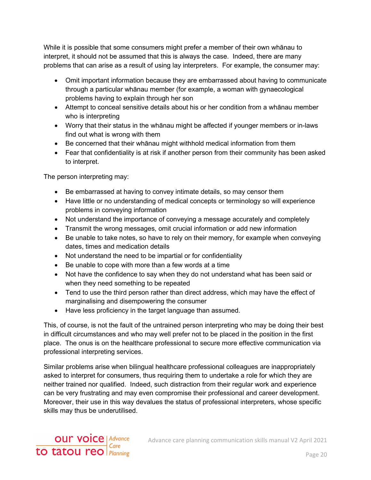While it is possible that some consumers might prefer a member of their own whānau to interpret, it should not be assumed that this is always the case. Indeed, there are many problems that can arise as a result of using lay interpreters. For example, the consumer may:

- Omit important information because they are embarrassed about having to communicate through a particular whānau member (for example, a woman with gynaecological problems having to explain through her son
- Attempt to conceal sensitive details about his or her condition from a whānau member who is interpreting
- Worry that their status in the whānau might be affected if younger members or in-laws find out what is wrong with them
- Be concerned that their whānau might withhold medical information from them
- Fear that confidentiality is at risk if another person from their community has been asked to interpret.

The person interpreting may:

- Be embarrassed at having to convey intimate details, so may censor them
- Have little or no understanding of medical concepts or terminology so will experience problems in conveying information
- Not understand the importance of conveying a message accurately and completely
- Transmit the wrong messages, omit crucial information or add new information
- Be unable to take notes, so have to rely on their memory, for example when conveying dates, times and medication details
- Not understand the need to be impartial or for confidentiality
- Be unable to cope with more than a few words at a time
- Not have the confidence to say when they do not understand what has been said or when they need something to be repeated
- Tend to use the third person rather than direct address, which may have the effect of marginalising and disempowering the consumer
- Have less proficiency in the target language than assumed.

This, of course, is not the fault of the untrained person interpreting who may be doing their best in difficult circumstances and who may well prefer not to be placed in the position in the first place. The onus is on the healthcare professional to secure more effective communication via professional interpreting services.

Similar problems arise when bilingual healthcare professional colleagues are inappropriately asked to interpret for consumers, thus requiring them to undertake a role for which they are neither trained nor qualified. Indeed, such distraction from their regular work and experience can be very frustrating and may even compromise their professional and career development. Moreover, their use in this way devalues the status of professional interpreters, whose specific skills may thus be underutilised.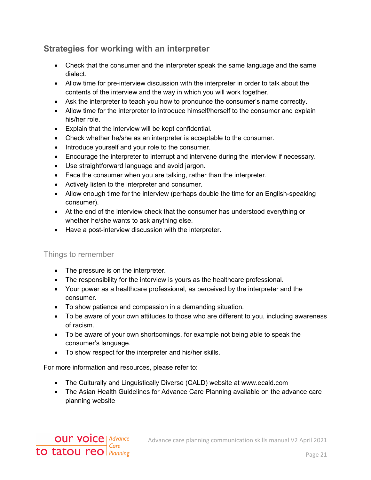# <span id="page-20-0"></span>**Strategies for working with an interpreter**

- Check that the consumer and the interpreter speak the same language and the same dialect.
- Allow time for pre-interview discussion with the interpreter in order to talk about the contents of the interview and the way in which you will work together.
- Ask the interpreter to teach you how to pronounce the consumer's name correctly.
- Allow time for the interpreter to introduce himself/herself to the consumer and explain his/her role.
- Explain that the interview will be kept confidential.
- Check whether he/she as an interpreter is acceptable to the consumer.
- Introduce yourself and your role to the consumer.
- Encourage the interpreter to interrupt and intervene during the interview if necessary.
- Use straightforward language and avoid jargon.
- Face the consumer when you are talking, rather than the interpreter.
- Actively listen to the interpreter and consumer.
- Allow enough time for the interview (perhaps double the time for an English-speaking consumer).
- At the end of the interview check that the consumer has understood everything or whether he/she wants to ask anything else.
- Have a post-interview discussion with the interpreter.

#### Things to remember

- The pressure is on the interpreter.
- The responsibility for the interview is yours as the healthcare professional.
- Your power as a healthcare professional, as perceived by the interpreter and the consumer.
- To show patience and compassion in a demanding situation.
- To be aware of your own attitudes to those who are different to you, including awareness of racism.
- To be aware of your own shortcomings, for example not being able to speak the consumer's language.
- To show respect for the interpreter and his/her skills.

For more information and resources, please refer to:

- The Culturally and Linguistically Diverse (CALD) website at www.ecald.com
- The Asian Health Guidelines for Advance Care Planning available on the advance care planning website

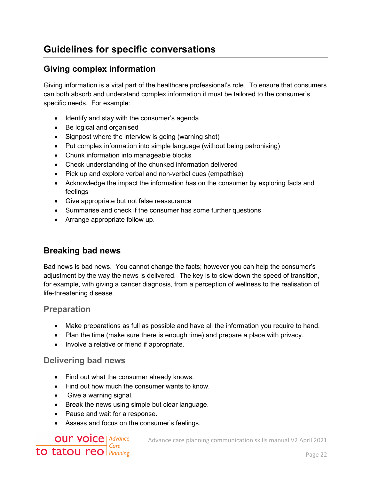# <span id="page-21-0"></span>**Guidelines for specific conversations**

# <span id="page-21-1"></span>**Giving complex information**

Giving information is a vital part of the healthcare professional's role. To ensure that consumers can both absorb and understand complex information it must be tailored to the consumer's specific needs. For example:

- Identify and stay with the consumer's agenda
- Be logical and organised
- Signpost where the interview is going (warning shot)
- Put complex information into simple language (without being patronising)
- Chunk information into manageable blocks
- Check understanding of the chunked information delivered
- Pick up and explore verbal and non-verbal cues (empathise)
- Acknowledge the impact the information has on the consumer by exploring facts and feelings
- Give appropriate but not false reassurance
- Summarise and check if the consumer has some further questions
- Arrange appropriate follow up.

#### <span id="page-21-2"></span>**Breaking bad news**

Bad news is bad news. You cannot change the facts; however you can help the consumer's adjustment by the way the news is delivered. The key is to slow down the speed of transition, for example, with giving a cancer diagnosis, from a perception of wellness to the realisation of life-threatening disease.

#### <span id="page-21-3"></span>**Preparation**

- Make preparations as full as possible and have all the information you require to hand.
- Plan the time (make sure there is enough time) and prepare a place with privacy.
- Involve a relative or friend if appropriate.

#### <span id="page-21-4"></span>**Delivering bad news**

- Find out what the consumer already knows.
- Find out how much the consumer wants to know.
- Give a warning signal.
- Break the news using simple but clear language.
- Pause and wait for a response.
- Assess and focus on the consumer's feelings.

# **OUT VOICE | Advance** to tātou reo  $\frac{e^{C}}{Planning}$

Advance care planning communication skills manual V2 April 2021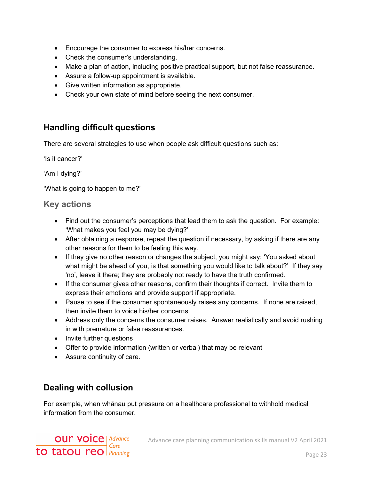- Encourage the consumer to express his/her concerns.
- Check the consumer's understanding.
- Make a plan of action, including positive practical support, but not false reassurance.
- Assure a follow-up appointment is available.
- Give written information as appropriate.
- Check your own state of mind before seeing the next consumer.

# <span id="page-22-0"></span>**Handling difficult questions**

There are several strategies to use when people ask difficult questions such as:

'Is it cancer?'

'Am I dying?'

'What is going to happen to me?'

#### <span id="page-22-1"></span>**Key actions**

- Find out the consumer's perceptions that lead them to ask the question. For example: 'What makes you feel you may be dying?'
- After obtaining a response, repeat the question if necessary, by asking if there are any other reasons for them to be feeling this way.
- If they give no other reason or changes the subject, you might say: 'You asked about what might be ahead of you, is that something you would like to talk about?' If they say 'no', leave it there; they are probably not ready to have the truth confirmed.
- If the consumer gives other reasons, confirm their thoughts if correct. Invite them to express their emotions and provide support if appropriate.
- Pause to see if the consumer spontaneously raises any concerns. If none are raised, then invite them to voice his/her concerns.
- Address only the concerns the consumer raises. Answer realistically and avoid rushing in with premature or false reassurances.
- Invite further questions
- Offer to provide information (written or verbal) that may be relevant
- Assure continuity of care.

# <span id="page-22-2"></span>**Dealing with collusion**

For example, when whānau put pressure on a healthcare professional to withhold medical information from the consumer.

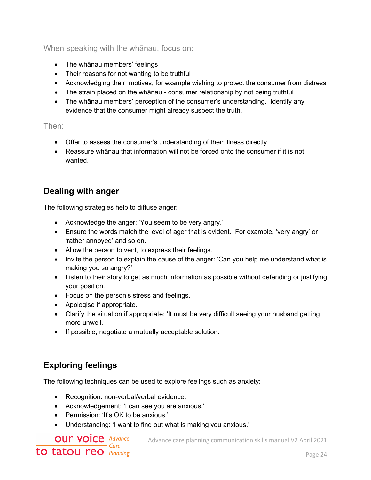When speaking with the whānau, focus on:

- The whānau members' feelings
- Their reasons for not wanting to be truthful
- Acknowledging their motives, for example wishing to protect the consumer from distress
- The strain placed on the whānau consumer relationship by not being truthful
- The whānau members' perception of the consumer's understanding. Identify any evidence that the consumer might already suspect the truth.

Then:

- Offer to assess the consumer's understanding of their illness directly
- Reassure whānau that information will not be forced onto the consumer if it is not wanted.

# <span id="page-23-0"></span>**Dealing with anger**

The following strategies help to diffuse anger:

- Acknowledge the anger: 'You seem to be very angry.'
- Ensure the words match the level of ager that is evident. For example, 'very angry' or 'rather annoyed' and so on.
- Allow the person to vent, to express their feelings.
- Invite the person to explain the cause of the anger: 'Can you help me understand what is making you so angry?'
- Listen to their story to get as much information as possible without defending or justifying your position.
- Focus on the person's stress and feelings.
- Apologise if appropriate.
- Clarify the situation if appropriate: 'It must be very difficult seeing your husband getting more unwell.'
- If possible, negotiate a mutually acceptable solution.

# <span id="page-23-1"></span>**Exploring feelings**

The following techniques can be used to explore feelings such as anxiety:

- Recognition: non-verbal/verbal evidence.
- Acknowledgement: 'I can see you are anxious.'
- Permission: 'It's OK to be anxious.'
- Understanding: 'I want to find out what is making you anxious.'

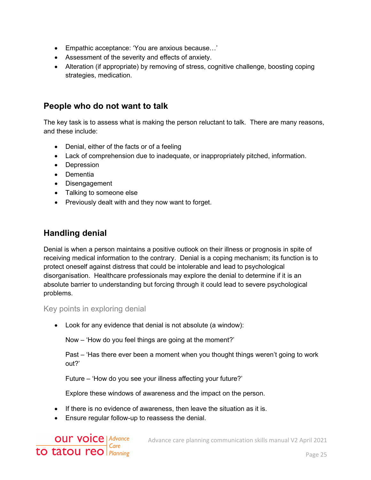- Empathic acceptance: 'You are anxious because…'
- Assessment of the severity and effects of anxiety.
- Alteration (if appropriate) by removing of stress, cognitive challenge, boosting coping strategies, medication.

#### <span id="page-24-0"></span>**People who do not want to talk**

The key task is to assess what is making the person reluctant to talk. There are many reasons, and these include:

- Denial, either of the facts or of a feeling
- Lack of comprehension due to inadequate, or inappropriately pitched, information.
- Depression
- Dementia
- Disengagement
- Talking to someone else
- Previously dealt with and they now want to forget.

# <span id="page-24-1"></span>**Handling denial**

Denial is when a person maintains a positive outlook on their illness or prognosis in spite of receiving medical information to the contrary. Denial is a coping mechanism; its function is to protect oneself against distress that could be intolerable and lead to psychological disorganisation. Healthcare professionals may explore the denial to determine if it is an absolute barrier to understanding but forcing through it could lead to severe psychological problems.

#### Key points in exploring denial

• Look for any evidence that denial is not absolute (a window):

Now – 'How do you feel things are going at the moment?'

Past – 'Has there ever been a moment when you thought things weren't going to work out?'

Future – 'How do you see your illness affecting your future?'

Explore these windows of awareness and the impact on the person.

- If there is no evidence of awareness, then leave the situation as it is.
- Ensure regular follow-up to reassess the denial.

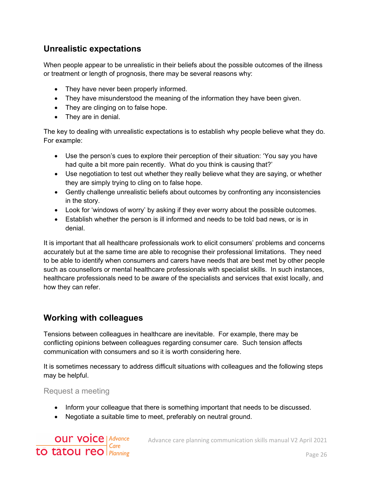# <span id="page-25-0"></span>**Unrealistic expectations**

When people appear to be unrealistic in their beliefs about the possible outcomes of the illness or treatment or length of prognosis, there may be several reasons why:

- They have never been properly informed.
- They have misunderstood the meaning of the information they have been given.
- They are clinging on to false hope.
- They are in denial.

The key to dealing with unrealistic expectations is to establish why people believe what they do. For example:

- Use the person's cues to explore their perception of their situation: 'You say you have had quite a bit more pain recently. What do you think is causing that?'
- Use negotiation to test out whether they really believe what they are saying, or whether they are simply trying to cling on to false hope.
- Gently challenge unrealistic beliefs about outcomes by confronting any inconsistencies in the story.
- Look for 'windows of worry' by asking if they ever worry about the possible outcomes.
- Establish whether the person is ill informed and needs to be told bad news, or is in denial.

It is important that all healthcare professionals work to elicit consumers' problems and concerns accurately but at the same time are able to recognise their professional limitations. They need to be able to identify when consumers and carers have needs that are best met by other people such as counsellors or mental healthcare professionals with specialist skills. In such instances, healthcare professionals need to be aware of the specialists and services that exist locally, and how they can refer.

# <span id="page-25-1"></span>**Working with colleagues**

Tensions between colleagues in healthcare are inevitable. For example, there may be conflicting opinions between colleagues regarding consumer care. Such tension affects communication with consumers and so it is worth considering here.

It is sometimes necessary to address difficult situations with colleagues and the following steps may be helpful.

Request a meeting

- Inform your colleague that there is something important that needs to be discussed.
- Negotiate a suitable time to meet, preferably on neutral ground.

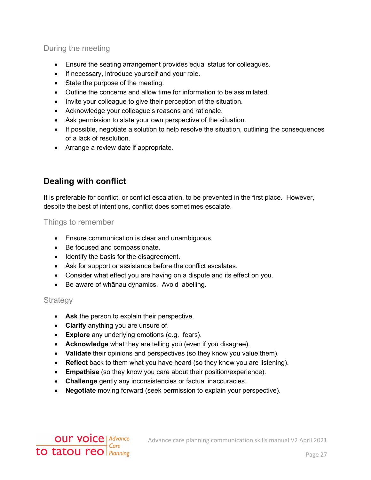#### During the meeting

- Ensure the seating arrangement provides equal status for colleagues.
- If necessary, introduce yourself and your role.
- State the purpose of the meeting.
- Outline the concerns and allow time for information to be assimilated.
- Invite your colleague to give their perception of the situation.
- Acknowledge your colleague's reasons and rationale.
- Ask permission to state your own perspective of the situation.
- If possible, negotiate a solution to help resolve the situation, outlining the consequences of a lack of resolution.
- Arrange a review date if appropriate.

# <span id="page-26-0"></span>**Dealing with conflict**

It is preferable for conflict, or conflict escalation, to be prevented in the first place. However, despite the best of intentions, conflict does sometimes escalate.

Things to remember

- Ensure communication is clear and unambiguous.
- Be focused and compassionate.
- Identify the basis for the disagreement.
- Ask for support or assistance before the conflict escalates.
- Consider what effect you are having on a dispute and its effect on you.
- Be aware of whānau dynamics. Avoid labelling.

#### **Strategy**

- **Ask** the person to explain their perspective.
- **Clarify** anything you are unsure of.
- **Explore** any underlying emotions (e.g. fears).
- **Acknowledge** what they are telling you (even if you disagree).
- **Validate** their opinions and perspectives (so they know you value them).
- **Reflect** back to them what you have heard (so they know you are listening).
- **Empathise** (so they know you care about their position/experience).
- **Challenge** gently any inconsistencies or factual inaccuracies.
- **Negotiate** moving forward (seek permission to explain your perspective).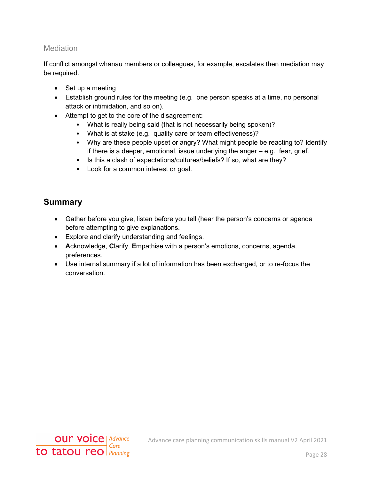#### Mediation

If conflict amongst whānau members or colleagues, for example, escalates then mediation may be required.

- Set up a meeting
- Establish ground rules for the meeting (e.g. one person speaks at a time, no personal attack or intimidation, and so on).
- Attempt to get to the core of the disagreement:
	- What is really being said (that is not necessarily being spoken)?
	- What is at stake (e.g. quality care or team effectiveness)?
	- Why are these people upset or angry? What might people be reacting to? Identify if there is a deeper, emotional, issue underlying the anger – e.g. fear, grief.
	- Is this a clash of expectations/cultures/beliefs? If so, what are they?
	- Look for a common interest or goal.

# <span id="page-27-0"></span>**Summary**

- Gather before you give, listen before you tell (hear the person's concerns or agenda before attempting to give explanations.
- Explore and clarify understanding and feelings.
- **A**cknowledge, **C**larify, **E**mpathise with a person's emotions, concerns, agenda, preferences.
- Use internal summary if a lot of information has been exchanged, or to re-focus the conversation.